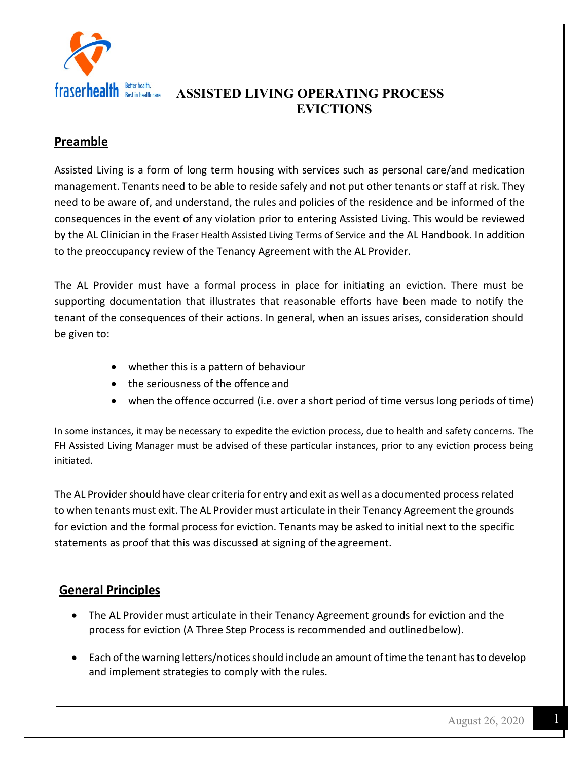

# **Preamble**

Assisted Living is a form of long term housing with services such as personal care/and medication management. Tenants need to be able to reside safely and not put other tenants or staff at risk. They need to be aware of, and understand, the rules and policies of the residence and be informed of the consequences in the event of any violation prior to entering Assisted Living. This would be reviewed by the AL Clinician in the Fraser Health Assisted Living Terms of Service and the AL Handbook. In addition to the preoccupancy review of the Tenancy Agreement with the AL Provider.

The AL Provider must have a formal process in place for initiating an eviction. There must be supporting documentation that illustrates that reasonable efforts have been made to notify the tenant of the consequences of their actions. In general, when an issues arises, consideration should be given to:

- whether this is a pattern of behaviour
- the seriousness of the offence and
- when the offence occurred (i.e. over a short period of time versus long periods of time)

In some instances, it may be necessary to expedite the eviction process, due to health and safety concerns. The FH Assisted Living Manager must be advised of these particular instances, prior to any eviction process being initiated.

The AL Provider should have clear criteria for entry and exit as well as a documented process related to when tenants must exit. The AL Provider must articulate in their Tenancy Agreement the grounds for eviction and the formal process for eviction. Tenants may be asked to initial next to the specific statements as proof that this was discussed at signing of the agreement.

### **General Principles**

- The AL Provider must articulate in their Tenancy Agreement grounds for eviction and the process for eviction (A Three Step Process is recommended and outlinedbelow).
- Each of the warning letters/notices should include an amount of time the tenant has to develop and implement strategies to comply with the rules.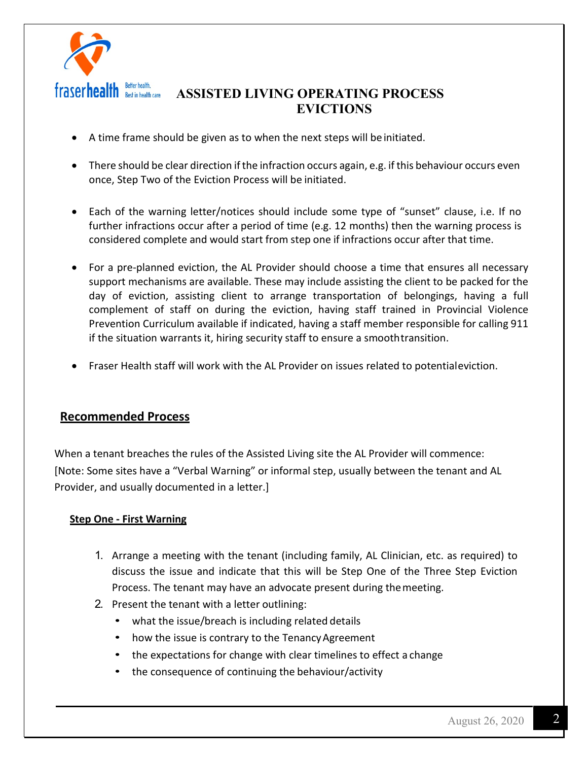

- A time frame should be given as to when the next steps will be initiated.
- There should be clear direction if the infraction occurs again, e.g. if this behaviour occurs even once, Step Two of the Eviction Process will be initiated.
- Each of the warning letter/notices should include some type of "sunset" clause, i.e. If no further infractions occur after a period of time (e.g. 12 months) then the warning process is considered complete and would start from step one if infractions occur after that time.
- For a pre-planned eviction, the AL Provider should choose a time that ensures all necessary support mechanisms are available. These may include assisting the client to be packed for the day of eviction, assisting client to arrange transportation of belongings, having a full complement of staff on during the eviction, having staff trained in Provincial Violence Prevention Curriculum available if indicated, having a staff member responsible for calling 911 if the situation warrants it, hiring security staff to ensure a smoothtransition.
- Fraser Health staff will work with the AL Provider on issues related to potentialeviction.

### **Recommended Process**

When a tenant breaches the rules of the Assisted Living site the AL Provider will commence: [Note: Some sites have a "Verbal Warning" or informal step, usually between the tenant and AL Provider, and usually documented in a letter.]

#### **Step One - First Warning**

- 1. Arrange a meeting with the tenant (including family, AL Clinician, etc. as required) to discuss the issue and indicate that this will be Step One of the Three Step Eviction Process. The tenant may have an advocate present during themeeting.
- 2. Present the tenant with a letter outlining:
	- what the issue/breach is including related details
	- how the issue is contrary to the Tenancy Agreement
	- the expectations for change with clear timelines to effect a change
	- the consequence of continuing the behaviour/activity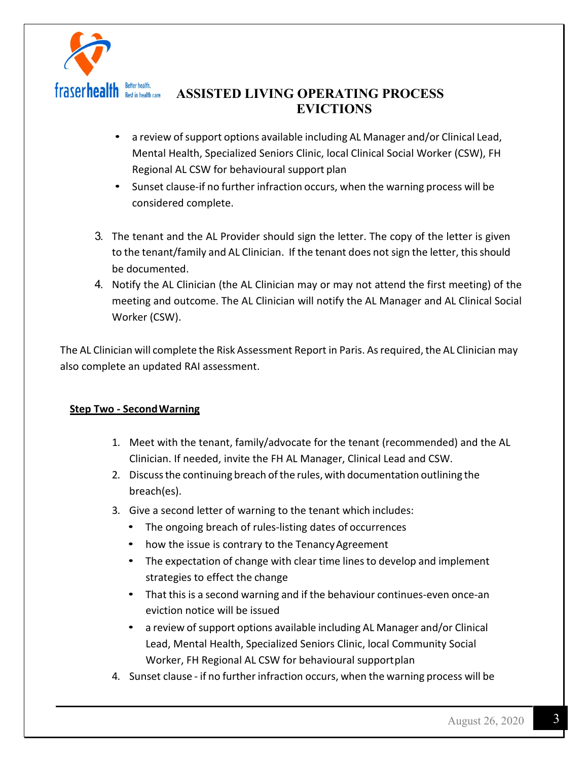

- a review of support options available including AL Manager and/or Clinical Lead, Mental Health, Specialized Seniors Clinic, local Clinical Social Worker (CSW), FH Regional AL CSW for behavioural support plan
- Sunset clause-if no further infraction occurs, when the warning process will be considered complete.
- 3. The tenant and the AL Provider should sign the letter. The copy of the letter is given to the tenant/family and AL Clinician. If the tenant does not sign the letter, this should be documented.
- 4. Notify the AL Clinician (the AL Clinician may or may not attend the first meeting) of the meeting and outcome. The AL Clinician will notify the AL Manager and AL Clinical Social Worker (CSW).

The AL Clinician will complete the Risk Assessment Report in Paris. Asrequired, the AL Clinician may also complete an updated RAI assessment.

#### **Step Two - SecondWarning**

- 1. Meet with the tenant, family/advocate for the tenant (recommended) and the AL Clinician. If needed, invite the FH AL Manager, Clinical Lead and CSW.
- 2. Discuss the continuing breach of the rules, with documentation outlining the breach(es).
- 3. Give a second letter of warning to the tenant which includes:
	- The ongoing breach of rules-listing dates of occurrences
	- how the issue is contrary to the Tenancy Agreement
	- The expectation of change with clear time lines to develop and implement strategies to effect the change
	- That this is a second warning and if the behaviour continues-even once-an eviction notice will be issued
	- a review of support options available including AL Manager and/or Clinical Lead, Mental Health, Specialized Seniors Clinic, local Community Social Worker, FH Regional AL CSW for behavioural supportplan
- 4. Sunset clause if no further infraction occurs, when the warning process will be